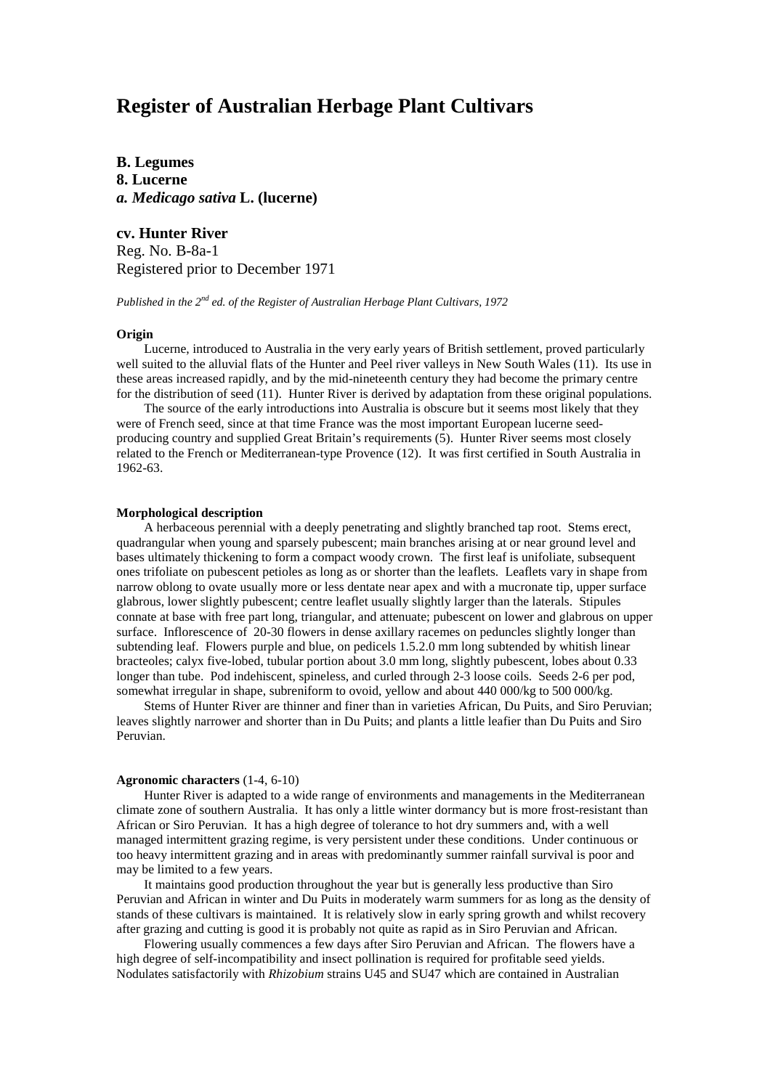# **Register of Australian Herbage Plant Cultivars**

**B. Legumes 8. Lucerne** *a. Medicago sativa* **L. (lucerne)**

# **cv. Hunter River**

Reg. No. B-8a-1 Registered prior to December 1971

*Published in the 2nd ed. of the Register of Australian Herbage Plant Cultivars, 1972*

### **Origin**

Lucerne, introduced to Australia in the very early years of British settlement, proved particularly well suited to the alluvial flats of the Hunter and Peel river valleys in New South Wales (11). Its use in these areas increased rapidly, and by the mid-nineteenth century they had become the primary centre for the distribution of seed (11). Hunter River is derived by adaptation from these original populations.

The source of the early introductions into Australia is obscure but it seems most likely that they were of French seed, since at that time France was the most important European lucerne seedproducing country and supplied Great Britain's requirements (5). Hunter River seems most closely related to the French or Mediterranean-type Provence (12). It was first certified in South Australia in 1962-63.

#### **Morphological description**

A herbaceous perennial with a deeply penetrating and slightly branched tap root. Stems erect, quadrangular when young and sparsely pubescent; main branches arising at or near ground level and bases ultimately thickening to form a compact woody crown. The first leaf is unifoliate, subsequent ones trifoliate on pubescent petioles as long as or shorter than the leaflets. Leaflets vary in shape from narrow oblong to ovate usually more or less dentate near apex and with a mucronate tip, upper surface glabrous, lower slightly pubescent; centre leaflet usually slightly larger than the laterals. Stipules connate at base with free part long, triangular, and attenuate; pubescent on lower and glabrous on upper surface. Inflorescence of 20-30 flowers in dense axillary racemes on peduncles slightly longer than subtending leaf. Flowers purple and blue, on pedicels 1.5.2.0 mm long subtended by whitish linear bracteoles; calyx five-lobed, tubular portion about 3.0 mm long, slightly pubescent, lobes about 0.33 longer than tube. Pod indehiscent, spineless, and curled through 2-3 loose coils. Seeds 2-6 per pod, somewhat irregular in shape, subreniform to ovoid, yellow and about 440 000/kg to 500 000/kg.

Stems of Hunter River are thinner and finer than in varieties African, Du Puits, and Siro Peruvian; leaves slightly narrower and shorter than in Du Puits; and plants a little leafier than Du Puits and Siro Peruvian.

#### **Agronomic characters** (1-4, 6-10)

Hunter River is adapted to a wide range of environments and managements in the Mediterranean climate zone of southern Australia. It has only a little winter dormancy but is more frost-resistant than African or Siro Peruvian. It has a high degree of tolerance to hot dry summers and, with a well managed intermittent grazing regime, is very persistent under these conditions. Under continuous or too heavy intermittent grazing and in areas with predominantly summer rainfall survival is poor and may be limited to a few years.

It maintains good production throughout the year but is generally less productive than Siro Peruvian and African in winter and Du Puits in moderately warm summers for as long as the density of stands of these cultivars is maintained. It is relatively slow in early spring growth and whilst recovery after grazing and cutting is good it is probably not quite as rapid as in Siro Peruvian and African.

Flowering usually commences a few days after Siro Peruvian and African. The flowers have a high degree of self-incompatibility and insect pollination is required for profitable seed yields. Nodulates satisfactorily with *Rhizobium* strains U45 and SU47 which are contained in Australian